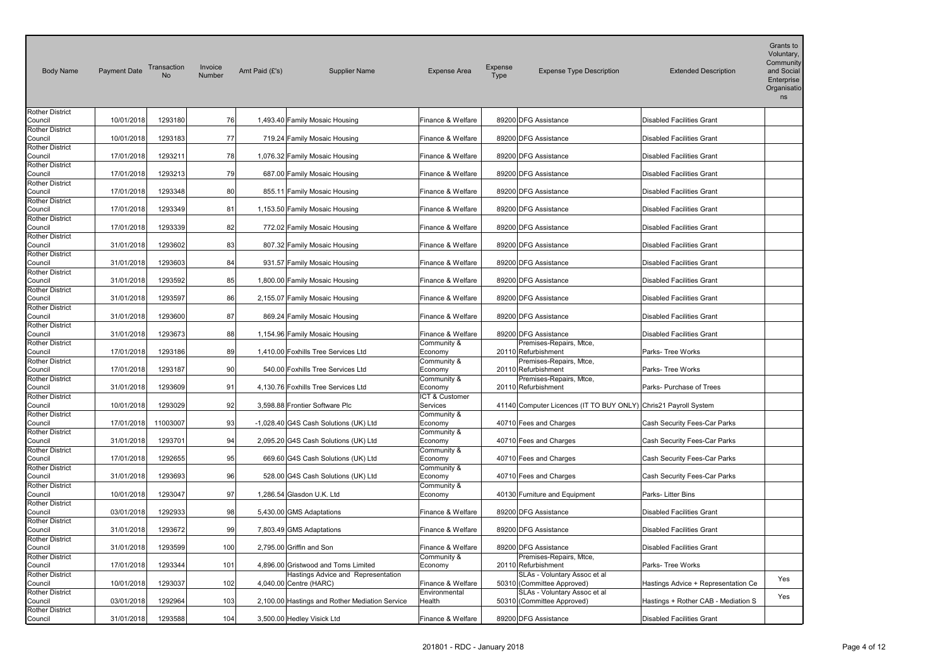| <b>Body Name</b>                  | <b>Payment Date</b> | Transaction<br><b>No</b> | Invoice<br>Number | Amt Paid (£'s) | <b>Supplier Name</b>                                         | <b>Expense Area</b>        | Expense<br>Type | <b>Expense Type Description</b>                                 | <b>Extended Description</b>         | Grants to<br>Voluntary,<br>Community<br>and Social<br>Enterprise<br>Organisatio<br>ns |
|-----------------------------------|---------------------|--------------------------|-------------------|----------------|--------------------------------------------------------------|----------------------------|-----------------|-----------------------------------------------------------------|-------------------------------------|---------------------------------------------------------------------------------------|
| <b>Rother District</b>            |                     |                          |                   |                |                                                              |                            |                 |                                                                 |                                     |                                                                                       |
| Council                           | 10/01/2018          | 1293180                  | 76                |                | 1,493.40 Family Mosaic Housing                               | Finance & Welfare          |                 | 89200 DFG Assistance                                            | Disabled Facilities Grant           |                                                                                       |
| <b>Rother District</b><br>Council | 10/01/2018          | 1293183                  | 77                |                | 719.24 Family Mosaic Housing                                 | Finance & Welfare          |                 | 89200 DFG Assistance                                            | <b>Disabled Facilities Grant</b>    |                                                                                       |
| <b>Rother District</b><br>Council | 17/01/2018          | 1293211                  | 78                |                | 1,076.32 Family Mosaic Housing                               | Finance & Welfare          |                 | 89200 DFG Assistance                                            | <b>Disabled Facilities Grant</b>    |                                                                                       |
| <b>Rother District</b><br>Council | 17/01/2018          | 1293213                  | 79                |                | 687.00 Family Mosaic Housing                                 | Finance & Welfare          |                 | 89200 DFG Assistance                                            | <b>Disabled Facilities Grant</b>    |                                                                                       |
| <b>Rother District</b><br>Council | 17/01/2018          | 1293348                  | 80                |                | 855.11 Family Mosaic Housing                                 | Finance & Welfare          |                 | 89200 DFG Assistance                                            | Disabled Facilities Grant           |                                                                                       |
| <b>Rother District</b><br>Council | 17/01/2018          | 1293349                  | 81                |                | 1,153.50 Family Mosaic Housing                               | Finance & Welfare          |                 | 89200 DFG Assistance                                            | Disabled Facilities Grant           |                                                                                       |
| <b>Rother District</b><br>Council | 17/01/2018          | 1293339                  | 82                |                | 772.02 Family Mosaic Housing                                 | Finance & Welfare          |                 | 89200 DFG Assistance                                            | Disabled Facilities Grant           |                                                                                       |
| <b>Rother District</b><br>Council | 31/01/2018          | 1293602                  | 83                |                | 807.32 Family Mosaic Housing                                 | Finance & Welfare          |                 | 89200 DFG Assistance                                            | Disabled Facilities Grant           |                                                                                       |
| <b>Rother District</b><br>Council | 31/01/2018          | 1293603                  | 84                |                | 931.57 Family Mosaic Housing                                 | Finance & Welfare          |                 | 89200 DFG Assistance                                            | <b>Disabled Facilities Grant</b>    |                                                                                       |
| <b>Rother District</b><br>Council | 31/01/2018          | 1293592                  | 85                |                | 1,800.00 Family Mosaic Housing                               | Finance & Welfare          |                 | 89200 DFG Assistance                                            | Disabled Facilities Grant           |                                                                                       |
| <b>Rother District</b><br>Council | 31/01/2018          | 1293597                  | 86                |                | 2,155.07 Family Mosaic Housing                               | Finance & Welfare          |                 | 89200 DFG Assistance                                            | Disabled Facilities Grant           |                                                                                       |
| <b>Rother District</b><br>Council | 31/01/2018          | 1293600                  | 87                |                | 869.24 Family Mosaic Housing                                 | Finance & Welfare          |                 | 89200 DFG Assistance                                            | Disabled Facilities Grant           |                                                                                       |
| <b>Rother District</b><br>Council | 31/01/2018          | 1293673                  | 88                |                | 1,154.96 Family Mosaic Housing                               | Finance & Welfare          |                 | 89200 DFG Assistance                                            | Disabled Facilities Grant           |                                                                                       |
| <b>Rother District</b><br>Council | 17/01/2018          | 1293186                  | 89                |                | 1,410.00 Foxhills Tree Services Ltd                          | Community &<br>Economy     |                 | Premises-Repairs, Mtce,<br>20110 Refurbishment                  | Parks- Tree Works                   |                                                                                       |
| <b>Rother District</b><br>Council | 17/01/2018          | 1293187                  | 90                |                | 540.00 Foxhills Tree Services Ltd                            | Community &<br>Economy     |                 | Premises-Repairs, Mtce,<br>20110 Refurbishment                  | Parks- Tree Works                   |                                                                                       |
| <b>Rother District</b><br>Council | 31/01/2018          | 1293609                  | 91                |                | 4,130.76 Foxhills Tree Services Ltd                          | Community &<br>Economy     |                 | Premises-Repairs, Mtce,<br>20110 Refurbishment                  | Parks- Purchase of Trees            |                                                                                       |
| <b>Rother District</b><br>Council | 10/01/2018          | 1293029                  | 92                |                | 3,598.88 Frontier Software Plc                               | ICT & Customer<br>Services |                 | 41140 Computer Licences (IT TO BUY ONLY) Chris21 Payroll System |                                     |                                                                                       |
| <b>Rother District</b><br>Council | 17/01/2018          | 11003007                 | 93                |                | -1,028.40 G4S Cash Solutions (UK) Ltd                        | Community &<br>Economy     |                 | 40710 Fees and Charges                                          | Cash Security Fees-Car Parks        |                                                                                       |
| <b>Rother District</b><br>Council | 31/01/2018          | 1293701                  | 94                |                | 2,095.20 G4S Cash Solutions (UK) Ltd                         | Community &<br>Economy     |                 | 40710 Fees and Charges                                          | Cash Security Fees-Car Parks        |                                                                                       |
| <b>Rother District</b><br>Council | 17/01/2018          | 1292655                  |                   | 95             | 669.60 G4S Cash Solutions (UK) Ltd                           | Community &<br>Economy     |                 | 40710 Fees and Charges                                          | Cash Security Fees-Car Parks        |                                                                                       |
| <b>Rother District</b><br>Council | 31/01/2018          | 1293693                  | 96                |                | 528.00 G4S Cash Solutions (UK) Ltd                           | Community &<br>Economy     |                 | 40710 Fees and Charges                                          | Cash Security Fees-Car Parks        |                                                                                       |
| <b>Rother District</b><br>Council | 10/01/2018          | 1293047                  | 97                |                | 1,286.54 Glasdon U.K. Ltd                                    | Community &<br>Economy     |                 | 40130 Furniture and Equipment                                   | Parks- Litter Bins                  |                                                                                       |
| <b>Rother District</b><br>Council | 03/01/2018          | 1292933                  | 98                |                | 5,430.00 GMS Adaptations                                     | Finance & Welfare          |                 | 89200 DFG Assistance                                            | Disabled Facilities Grant           |                                                                                       |
| <b>Rother District</b><br>Council | 31/01/2018          | 1293672                  | 99                |                | 7,803.49 GMS Adaptations                                     | Finance & Welfare          |                 | 89200 DFG Assistance                                            | Disabled Facilities Grant           |                                                                                       |
| <b>Rother District</b><br>Council | 31/01/2018          | 1293599                  | 100               |                | 2,795.00 Griffin and Son                                     | Finance & Welfare          |                 | 89200 DFG Assistance                                            | Disabled Facilities Grant           |                                                                                       |
| <b>Rother District</b><br>Council | 17/01/2018          | 1293344                  | 101               |                | 4,896.00 Gristwood and Toms Limited                          | Community &<br>Economy     |                 | Premises-Repairs, Mtce,<br>20110 Refurbishment                  | Parks- Tree Works                   |                                                                                       |
| <b>Rother District</b><br>Council | 10/01/2018          | 1293037                  | 102               |                | Hastings Advice and Representation<br>4,040.00 Centre (HARC) | Finance & Welfare          | 50310           | SLAs - Voluntary Assoc et al<br>(Committee Approved)            | Hastings Advice + Representation Ce | Yes                                                                                   |
| <b>Rother District</b><br>Council | 03/01/2018          | 1292964                  | 103               |                | 2,100.00 Hastings and Rother Mediation Service               | Environmental<br>Health    |                 | SLAs - Voluntary Assoc et al<br>50310 (Committee Approved)      | Hastings + Rother CAB - Mediation S | Yes                                                                                   |
| <b>Rother District</b><br>Council | 31/01/2018          | 1293588                  | 104               |                | 3,500.00 Hedley Visick Ltd                                   | Finance & Welfare          |                 | 89200 DFG Assistance                                            | <b>Disabled Facilities Grant</b>    |                                                                                       |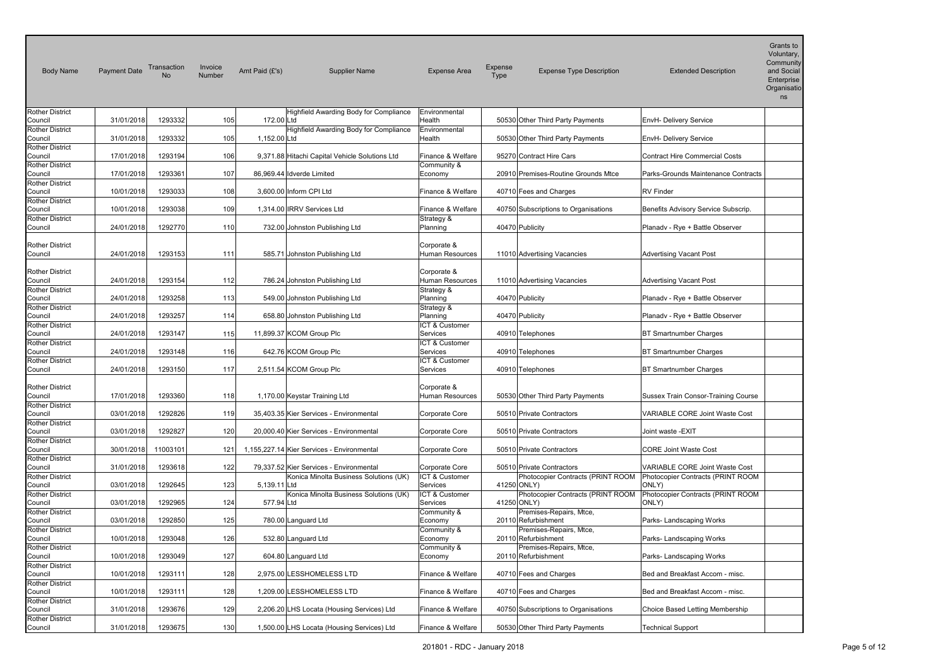| <b>Body Name</b>                                            | <b>Payment Date</b> | Transaction<br><b>No</b> | Invoice<br>Number | Amt Paid (£'s) | <b>Supplier Name</b>                                                              | <b>Expense Area</b>              | Expense<br>Type | <b>Expense Type Description</b>                                | <b>Extended Description</b>                                         | Grants to<br>Voluntary,<br>Community<br>and Social<br>Enterprise<br>Organisatio<br>ns |
|-------------------------------------------------------------|---------------------|--------------------------|-------------------|----------------|-----------------------------------------------------------------------------------|----------------------------------|-----------------|----------------------------------------------------------------|---------------------------------------------------------------------|---------------------------------------------------------------------------------------|
| <b>Rother District</b>                                      |                     |                          |                   |                | Highfield Awarding Body for Compliance                                            | Environmental                    |                 |                                                                |                                                                     |                                                                                       |
| Council                                                     | 31/01/2018          | 1293332                  | 105               | 172.00 Ltd     |                                                                                   | Health                           |                 | 50530 Other Third Party Payments                               | EnvH- Delivery Service                                              |                                                                                       |
| <b>Rother District</b><br>Council                           | 31/01/2018          | 1293332                  | 105               | 1,152.00 Ltd   | Highfield Awarding Body for Compliance                                            | Environmental<br>Health          |                 | 50530 Other Third Party Payments                               | <b>EnvH- Delivery Service</b>                                       |                                                                                       |
| <b>Rother District</b><br>Council                           | 17/01/2018          | 1293194                  | 106               |                | 9,371.88 Hitachi Capital Vehicle Solutions Ltd                                    | Finance & Welfare                |                 | 95270 Contract Hire Cars                                       | <b>Contract Hire Commercial Costs</b>                               |                                                                                       |
| <b>Rother District</b><br>Council                           | 17/01/2018          | 1293361                  | 107               |                | 86,969.44 Idverde Limited                                                         | Community &<br>Economy           |                 | 20910 Premises-Routine Grounds Mtce                            | Parks-Grounds Maintenance Contracts                                 |                                                                                       |
| <b>Rother District</b><br>Council<br><b>Rother District</b> | 10/01/2018          | 1293033                  | 108               |                | 3,600.00 Inform CPI Ltd                                                           | Finance & Welfare                |                 | 40710 Fees and Charges                                         | <b>RV Finder</b>                                                    |                                                                                       |
| Council                                                     | 10/01/2018          | 1293038                  | 109               |                | 1,314.00 IRRV Services Ltd                                                        | Finance & Welfare                |                 | 40750 Subscriptions to Organisations                           | Benefits Advisory Service Subscrip.                                 |                                                                                       |
| <b>Rother District</b><br>Council                           | 24/01/2018          | 1292770                  | 110               |                | 732.00 Johnston Publishing Ltd                                                    | Strategy &<br>Planning           |                 | 40470 Publicity                                                | Planadv - Rye + Battle Observer                                     |                                                                                       |
| <b>Rother District</b><br>Council                           | 24/01/2018          | 1293153                  | 111               |                | 585.71 Johnston Publishing Ltd                                                    | Corporate &<br>Human Resources   |                 | 11010 Advertising Vacancies                                    | Advertising Vacant Post                                             |                                                                                       |
| <b>Rother District</b><br>Council                           | 24/01/2018          | 1293154                  | 112               |                | 786.24 Johnston Publishing Ltd                                                    | Corporate &<br>Human Resources   |                 | 11010 Advertising Vacancies                                    | Advertising Vacant Post                                             |                                                                                       |
| <b>Rother District</b><br>Council                           | 24/01/2018          | 1293258                  | 113               |                | 549.00 Johnston Publishing Ltd                                                    | Strategy &<br>Planning           |                 | 40470 Publicity                                                | Planadv - Rye + Battle Observer                                     |                                                                                       |
| <b>Rother District</b><br>Council                           | 24/01/2018          | 1293257                  | 114               |                | 658.80 Johnston Publishing Ltd                                                    | Strategy &<br>Planning           |                 | 40470 Publicity                                                | Planadv - Rye + Battle Observer                                     |                                                                                       |
| <b>Rother District</b><br>Council                           | 24/01/2018          | 1293147                  | 115               |                | 11,899.37 KCOM Group Plc                                                          | ICT & Customer<br>Services       |                 | 40910 Telephones                                               | <b>BT Smartnumber Charges</b>                                       |                                                                                       |
| <b>Rother District</b><br>Council                           | 24/01/2018          | 1293148                  | 116               |                | 642.76 KCOM Group Plc                                                             | ICT & Customer<br>Services       |                 | 40910 Telephones                                               | BT Smartnumber Charges                                              |                                                                                       |
| <b>Rother District</b><br>Council                           | 24/01/2018          | 1293150                  | 117               |                | 2,511.54 KCOM Group Plc                                                           | ICT & Customer<br>Services       |                 | 40910 Telephones                                               | BT Smartnumber Charges                                              |                                                                                       |
| <b>Rother District</b><br>Council                           | 17/01/2018          | 1293360                  | 118               |                | 1,170.00 Keystar Training Ltd                                                     | Corporate &<br>Human Resources   |                 | 50530 Other Third Party Payments                               | Sussex Train Consor-Training Course                                 |                                                                                       |
| <b>Rother District</b><br>Council                           | 03/01/2018          | 1292826                  | 119               |                | 35,403.35 Kier Services - Environmental                                           | Corporate Core                   |                 | 50510 Private Contractors                                      | VARIABLE CORE Joint Waste Cost                                      |                                                                                       |
| <b>Rother District</b><br>Council                           | 03/01/2018          | 1292827                  | 120               |                | 20,000.40 Kier Services - Environmental                                           | Corporate Core                   |                 | 50510 Private Contractors                                      | Joint waste -EXIT                                                   |                                                                                       |
| <b>Rother District</b><br>Council<br><b>Rother District</b> | 30/01/2018          | 11003101                 | 121               |                | 1,155,227.14 Kier Services - Environmental                                        | Corporate Core                   |                 | 50510 Private Contractors                                      | <b>CORE Joint Waste Cost</b>                                        |                                                                                       |
| Council<br><b>Rother District</b>                           | 31/01/2018          | 1293618                  | 122               |                | 79,337.52 Kier Services - Environmental<br>Konica Minolta Business Solutions (UK) | Corporate Core<br>ICT & Customer |                 | 50510 Private Contractors<br>Photocopier Contracts (PRINT ROOM | VARIABLE CORE Joint Waste Cost<br>Photocopier Contracts (PRINT ROOM |                                                                                       |
| Council                                                     | 03/01/2018          | 1292645                  | 123               | 5,139.11 Ltd   |                                                                                   | Services                         |                 | 41250 ONLY)                                                    | ONLY)                                                               |                                                                                       |
| <b>Rother District</b><br>Council                           | 03/01/2018          | 1292965                  | 124               | 577.94 Ltd     | Konica Minolta Business Solutions (UK)                                            | ICT & Customer<br>Services       |                 | Photocopier Contracts (PRINT ROOM<br>41250 ONLY)               | Photocopier Contracts (PRINT ROOM<br>ONLY)                          |                                                                                       |
| <b>Rother District</b><br>Council                           | 03/01/2018          | 1292850                  | 125               |                | 780.00 Languard Ltd                                                               | Community &<br>Economy           |                 | Premises-Repairs, Mtce,<br>20110 Refurbishment                 | Parks- Landscaping Works                                            |                                                                                       |
| <b>Rother District</b><br>Council                           | 10/01/2018          | 1293048                  | 126               |                | 532.80 Languard Ltd                                                               | Community &<br>Economy           |                 | Premises-Repairs, Mtce,<br>20110 Refurbishment                 | Parks- Landscaping Works                                            |                                                                                       |
| <b>Rother District</b><br>Council                           | 10/01/2018          | 1293049                  | 127               |                | 604.80 Languard Ltd                                                               | Community &<br>Economy           |                 | Premises-Repairs, Mtce,<br>20110 Refurbishment                 | Parks- Landscaping Works                                            |                                                                                       |
| <b>Rother District</b><br>Council                           | 10/01/2018          | 1293111                  | 128               |                | 2,975.00 LESSHOMELESS LTD                                                         | Finance & Welfare                |                 | 40710 Fees and Charges                                         | Bed and Breakfast Accom - misc.                                     |                                                                                       |
| Rother District<br>Council                                  | 10/01/2018          | 1293111                  | 128               |                | 1,209.00 LESSHOMELESS LTD                                                         | Finance & Welfare                |                 | 40710 Fees and Charges                                         | Bed and Breakfast Accom - misc.                                     |                                                                                       |
| <b>Rother District</b><br>Council                           | 31/01/2018          | 1293676                  | 129               |                | 2,206.20 LHS Locata (Housing Services) Ltd                                        | Finance & Welfare                |                 | 40750 Subscriptions to Organisations                           | Choice Based Letting Membership                                     |                                                                                       |
| <b>Rother District</b><br>Council                           | 31/01/2018          | 1293675                  | 130               |                | 1,500.00 LHS Locata (Housing Services) Ltd                                        | Finance & Welfare                |                 | 50530 Other Third Party Payments                               | <b>Technical Support</b>                                            |                                                                                       |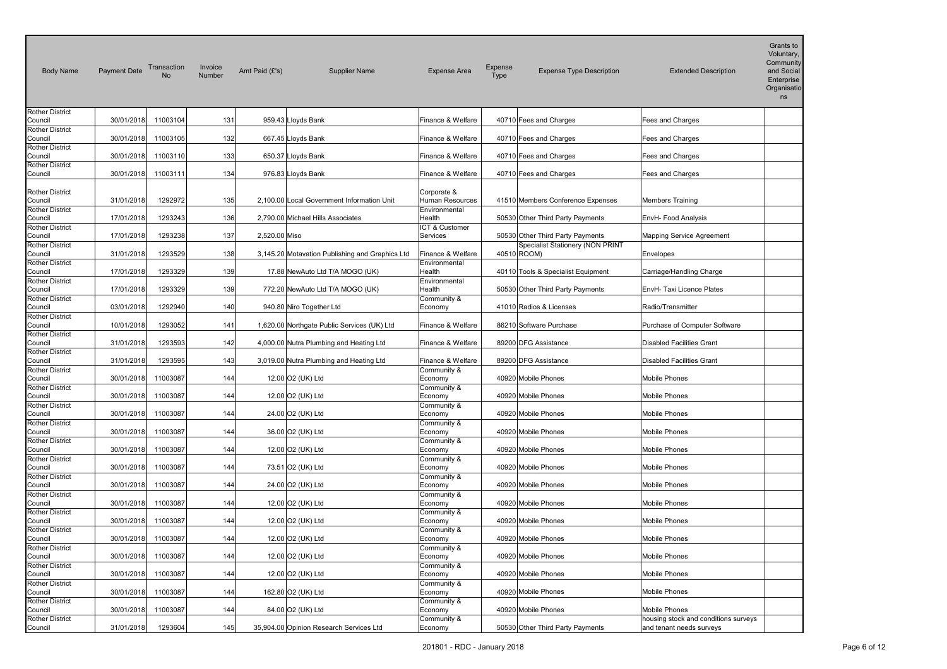| <b>Body Name</b>                  | <b>Payment Date</b> | Transaction<br><b>No</b> | Invoice<br>Number | Amt Paid (£'s) | <b>Supplier Name</b>                            | <b>Expense Area</b>            | Expense<br>Type | <b>Expense Type Description</b>                                      | <b>Extended Description</b>          | Grants to<br>Voluntary,<br>Community<br>and Social<br>Enterprise<br>Organisatio<br>ns |
|-----------------------------------|---------------------|--------------------------|-------------------|----------------|-------------------------------------------------|--------------------------------|-----------------|----------------------------------------------------------------------|--------------------------------------|---------------------------------------------------------------------------------------|
| Rother District                   | 30/01/2018          | 11003104                 | 131               |                | 959.43 Lloyds Bank                              | Finance & Welfare              |                 |                                                                      |                                      |                                                                                       |
| Council<br>Rother District        |                     |                          |                   |                |                                                 |                                |                 | 40710 Fees and Charges                                               | Fees and Charges                     |                                                                                       |
| Council                           | 30/01/2018          | 11003105                 | 132               |                | 667.45 Lloyds Bank                              | Finance & Welfare              |                 | 40710 Fees and Charges                                               | Fees and Charges                     |                                                                                       |
| <b>Rother District</b><br>Council | 30/01/2018          | 11003110                 | 133               |                | 650.37 Lloyds Bank                              | Finance & Welfare              |                 | 40710 Fees and Charges                                               | Fees and Charges                     |                                                                                       |
| Rother District                   |                     |                          |                   |                |                                                 |                                |                 |                                                                      |                                      |                                                                                       |
| Council                           | 30/01/2018          | 11003111                 | 134               |                | 976.83 Lloyds Bank                              | Finance & Welfare              |                 | 40710 Fees and Charges                                               | Fees and Charges                     |                                                                                       |
| <b>Rother District</b><br>Council | 31/01/2018          | 1292972                  | 135               |                | 2,100.00 Local Government Information Unit      | Corporate &<br>Human Resources |                 | 41510 Members Conference Expenses                                    | <b>Members Training</b>              |                                                                                       |
| <b>Rother District</b><br>Council | 17/01/2018          | 1293243                  | 136               |                | 2,790.00 Michael Hills Associates               | Environmental<br>Health        |                 | 50530 Other Third Party Payments                                     | EnvH- Food Analysis                  |                                                                                       |
| <b>Rother District</b>            |                     |                          |                   |                |                                                 | ICT & Customer                 |                 |                                                                      |                                      |                                                                                       |
| Council<br><b>Rother District</b> | 17/01/2018          | 1293238                  | 137               | 2,520.00 Miso  |                                                 | Services                       |                 | 50530 Other Third Party Payments<br>Specialist Stationery (NON PRINT | Mapping Service Agreement            |                                                                                       |
| Council                           | 31/01/2018          | 1293529                  | 138               |                | 3,145.20 Motavation Publishing and Graphics Ltd | Finance & Welfare              |                 | 40510 ROOM)                                                          | Envelopes                            |                                                                                       |
| Rother District                   | 17/01/2018          | 1293329                  | 139               |                | 17.88 NewAuto Ltd T/A MOGO (UK)                 | Environmental<br>Health        |                 | 40110 Tools & Specialist Equipment                                   |                                      |                                                                                       |
| Council<br><b>Rother District</b> |                     |                          |                   |                |                                                 | Environmental                  |                 |                                                                      | Carriage/Handling Charge             |                                                                                       |
| Council                           | 17/01/2018          | 1293329                  | 139               |                | 772.20 NewAuto Ltd T/A MOGO (UK)                | Health                         |                 | 50530 Other Third Party Payments                                     | EnvH- Taxi Licence Plates            |                                                                                       |
| Rother District<br>Council        | 03/01/2018          | 1292940                  | 140               |                | 940.80 Niro Together Ltd                        | Community &<br>Economy         |                 | 41010 Radios & Licenses                                              | Radio/Transmitter                    |                                                                                       |
| <b>Rother District</b>            |                     |                          |                   |                |                                                 |                                |                 |                                                                      |                                      |                                                                                       |
| Council<br>Rother District        | 10/01/2018          | 1293052                  | 141               |                | 1,620.00 Northgate Public Services (UK) Ltd     | Finance & Welfare              |                 | 86210 Software Purchase                                              | Purchase of Computer Software        |                                                                                       |
| Council                           | 31/01/2018          | 1293593                  | 142               |                | 4,000.00 Nutra Plumbing and Heating Ltd         | Finance & Welfare              |                 | 89200 DFG Assistance                                                 | <b>Disabled Facilities Grant</b>     |                                                                                       |
| <b>Rother District</b><br>Council | 31/01/2018          | 1293595                  | 143               |                | 3,019.00 Nutra Plumbing and Heating Ltd         | Finance & Welfare              |                 | 89200 DFG Assistance                                                 | <b>Disabled Facilities Grant</b>     |                                                                                       |
| Rother District                   |                     |                          |                   |                |                                                 | Community &                    |                 |                                                                      |                                      |                                                                                       |
| Council<br>Rother District        | 30/01/2018          | 11003087                 | 144               |                | 12.00 O2 (UK) Ltd                               | Economy<br>Community &         |                 | 40920 Mobile Phones                                                  | Mobile Phones                        |                                                                                       |
| Council                           | 30/01/2018          | 11003087                 | 144               |                | 12.00 O2 (UK) Ltd                               | Economy                        |                 | 40920 Mobile Phones                                                  | Mobile Phones                        |                                                                                       |
| <b>Rother District</b><br>Council | 30/01/2018          | 11003087                 | 144               |                | 24.00 O2 (UK) Ltd                               | Community &<br>Economy         |                 | 40920 Mobile Phones                                                  | Mobile Phones                        |                                                                                       |
| <b>Rother District</b>            |                     |                          |                   |                |                                                 | Community &                    |                 |                                                                      |                                      |                                                                                       |
| Council<br><b>Rother District</b> | 30/01/2018          | 11003087                 | 144               |                | 36.00 O2 (UK) Ltd                               | Economy<br>Community &         |                 | 40920 Mobile Phones                                                  | Mobile Phones                        |                                                                                       |
| Council                           | 30/01/2018          | 11003087                 | 144               |                | 12.00 O2 (UK) Ltd                               | Economy                        |                 | 40920 Mobile Phones                                                  | Mobile Phones                        |                                                                                       |
| Rother District<br>Council        | 30/01/2018          | 11003087                 | 144               |                | 73.51 O2 (UK) Ltd                               | Community &<br>Economy         |                 | 40920 Mobile Phones                                                  | Mobile Phones                        |                                                                                       |
| <b>Rother District</b>            |                     |                          |                   |                |                                                 | Community &                    |                 |                                                                      |                                      |                                                                                       |
| Council<br><b>Rother District</b> | 30/01/2018          | 11003087                 | 144               |                | 24.00 O2 (UK) Ltd                               | Economy<br>Community &         |                 | 40920 Mobile Phones                                                  | Mobile Phones                        |                                                                                       |
| Council                           | 30/01/2018          | 11003087                 | 144               |                | 12.00 O2 (UK) Ltd                               | Economy                        |                 | 40920 Mobile Phones                                                  | Mobile Phones                        |                                                                                       |
| Rother District<br>Council        | 30/01/2018          | 11003087                 | 144               |                | 12.00 O2 (UK) Ltd                               | Community &<br>Economy         |                 | 40920 Mobile Phones                                                  | Mobile Phones                        |                                                                                       |
| Rother District                   |                     |                          |                   |                |                                                 | Community &                    |                 |                                                                      |                                      |                                                                                       |
| Council                           | 30/01/2018          | 11003087                 | 144               |                | 12.00 O2 (UK) Ltd                               | Economy                        |                 | 40920 Mobile Phones                                                  | Mobile Phones                        |                                                                                       |
| Rother District<br>Council        | 30/01/2018          | 11003087                 | 144               |                | 12.00 O2 (UK) Ltd                               | Community &<br>Economy         |                 | 40920 Mobile Phones                                                  | <b>Mobile Phones</b>                 |                                                                                       |
| Rother District<br>Council        | 30/01/2018          | 11003087                 | 144               |                | 12.00 O2 (UK) Ltd                               | Community &<br>Economy         |                 | 40920 Mobile Phones                                                  | <b>Mobile Phones</b>                 |                                                                                       |
| <b>Rother District</b>            |                     |                          |                   |                |                                                 | Community &                    |                 |                                                                      |                                      |                                                                                       |
| Council                           | 30/01/2018          | 11003087                 | 144               |                | 162.80 O2 (UK) Ltd                              | Economy                        |                 | 40920 Mobile Phones                                                  | <b>Mobile Phones</b>                 |                                                                                       |
| Rother District<br>Council        | 30/01/2018          | 11003087                 | 144               |                | 84.00 O2 (UK) Ltd                               | Community &<br>Economy         |                 | 40920 Mobile Phones                                                  | Mobile Phones                        |                                                                                       |
| <b>Rother District</b>            |                     |                          |                   |                |                                                 | Community &                    |                 |                                                                      | housing stock and conditions surveys |                                                                                       |
| Council                           | 31/01/2018          | 1293604                  | 145               |                | 35,904.00 Opinion Research Services Ltd         | Economy                        |                 | 50530 Other Third Party Payments                                     | and tenant needs surveys             |                                                                                       |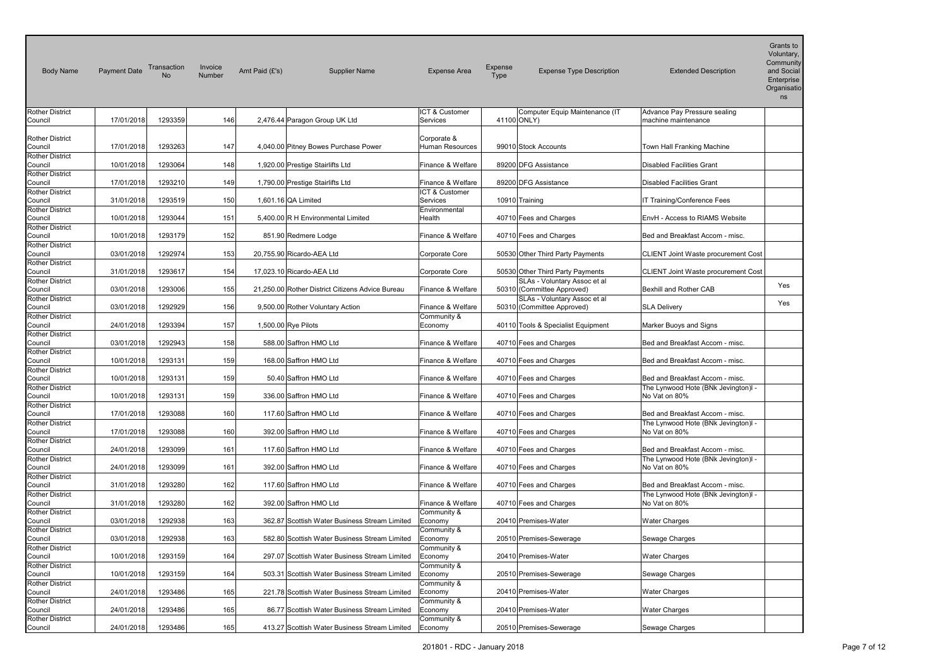| <b>Body Name</b>                  | <b>Payment Date</b> | Transaction<br><b>No</b> | Invoice<br>Number | Amt Paid (£'s) | <b>Supplier Name</b>                             | <b>Expense Area</b>                   | <b>Expense</b><br>Type | <b>Expense Type Description</b>    | <b>Extended Description</b>                                            | Grants to<br>Voluntary,<br>Community<br>and Social<br>Enterprise<br>Organisatio<br>ns |
|-----------------------------------|---------------------|--------------------------|-------------------|----------------|--------------------------------------------------|---------------------------------------|------------------------|------------------------------------|------------------------------------------------------------------------|---------------------------------------------------------------------------------------|
| <b>Rother District</b>            |                     |                          |                   |                |                                                  | ICT & Customer                        |                        | Computer Equip Maintenance (IT     | Advance Pay Pressure sealing                                           |                                                                                       |
| Council                           | 17/01/2018          | 1293359                  | 146               |                | 2,476.44 Paragon Group UK Ltd                    | Services                              |                        | 41100 ONLY)                        | machine maintenance                                                    |                                                                                       |
|                                   |                     |                          |                   |                |                                                  |                                       |                        |                                    |                                                                        |                                                                                       |
| <b>Rother District</b><br>Council | 17/01/2018          | 1293263                  | 147               |                | 4,040.00 Pitney Bowes Purchase Power             | Corporate &<br><b>Human Resources</b> |                        | 99010 Stock Accounts               | Town Hall Franking Machine                                             |                                                                                       |
| <b>Rother District</b>            |                     |                          |                   |                |                                                  |                                       |                        |                                    |                                                                        |                                                                                       |
| Council                           | 10/01/2018          | 1293064                  | 148               |                | 1,920.00 Prestige Stairlifts Ltd                 | Finance & Welfare                     |                        | 89200 DFG Assistance               | <b>Disabled Facilities Grant</b>                                       |                                                                                       |
| <b>Rother District</b>            |                     |                          |                   |                |                                                  |                                       |                        |                                    |                                                                        |                                                                                       |
| Council                           | 17/01/2018          | 1293210                  | 149               |                | 1,790.00 Prestige Stairlifts Ltd                 | Finance & Welfare                     |                        | 89200 DFG Assistance               | <b>Disabled Facilities Grant</b>                                       |                                                                                       |
| <b>Rother District</b><br>Council | 31/01/2018          | 1293519                  | 150               |                | 1,601.16 QA Limited                              | ICT & Customer<br>Services            |                        | 10910 Training                     | IT Training/Conference Fees                                            |                                                                                       |
| <b>Rother District</b>            |                     |                          |                   |                |                                                  | Environmental                         |                        |                                    |                                                                        |                                                                                       |
| Council                           | 10/01/2018          | 1293044                  | 151               |                | 5,400.00 R H Environmental Limited               | Health                                |                        | 40710 Fees and Charges             | EnvH - Access to RIAMS Website                                         |                                                                                       |
| <b>Rother District</b>            |                     |                          |                   |                |                                                  |                                       |                        |                                    |                                                                        |                                                                                       |
| Council                           | 10/01/2018          | 1293179                  | 152               |                | 851.90 Redmere Lodge                             | Finance & Welfare                     |                        | 40710 Fees and Charges             | Bed and Breakfast Accom - misc.                                        |                                                                                       |
| <b>Rother District</b>            |                     |                          |                   |                |                                                  |                                       |                        |                                    |                                                                        |                                                                                       |
| Council                           | 03/01/2018          | 1292974                  | 153               |                | 20,755.90 Ricardo-AEA Ltd                        | Corporate Core                        |                        | 50530 Other Third Party Payments   | <b>CLIENT Joint Waste procurement Cost</b>                             |                                                                                       |
| <b>Rother District</b><br>Council | 31/01/2018          | 1293617                  | 154               |                | 17,023.10 Ricardo-AEA Ltd                        | Corporate Core                        |                        | 50530 Other Third Party Payments   | <b>CLIENT Joint Waste procurement Cost</b>                             |                                                                                       |
| <b>Rother District</b>            |                     |                          |                   |                |                                                  |                                       |                        | SLAs - Voluntary Assoc et al       |                                                                        |                                                                                       |
| Council                           | 03/01/2018          | 1293006                  | 155               |                | 21,250.00 Rother District Citizens Advice Bureau | Finance & Welfare                     |                        | 50310 (Committee Approved)         | Bexhill and Rother CAB                                                 | Yes                                                                                   |
| <b>Rother District</b>            |                     |                          |                   |                |                                                  |                                       |                        | SLAs - Voluntary Assoc et al       |                                                                        | Yes                                                                                   |
| Council                           | 03/01/2018          | 1292929                  | 156               |                | 9,500.00 Rother Voluntary Action                 | Finance & Welfare                     |                        | 50310 (Committee Approved)         | <b>SLA Delivery</b>                                                    |                                                                                       |
| <b>Rother District</b><br>Council |                     |                          |                   |                |                                                  | Community &                           |                        |                                    |                                                                        |                                                                                       |
| <b>Rother District</b>            | 24/01/2018          | 1293394                  | 157               |                | 1,500.00 Rye Pilots                              | Economy                               |                        | 40110 Tools & Specialist Equipment | Marker Buoys and Signs                                                 |                                                                                       |
| Council                           | 03/01/2018          | 1292943                  | 158               |                | 588.00 Saffron HMO Ltd                           | Finance & Welfare                     |                        | 40710 Fees and Charges             | Bed and Breakfast Accom - misc.                                        |                                                                                       |
| <b>Rother District</b>            |                     |                          |                   |                |                                                  |                                       |                        |                                    |                                                                        |                                                                                       |
| Council                           | 10/01/2018          | 1293131                  | 159               |                | 168.00 Saffron HMO Ltd                           | Finance & Welfare                     |                        | 40710 Fees and Charges             | Bed and Breakfast Accom - misc.                                        |                                                                                       |
| <b>Rother District</b>            |                     |                          |                   |                |                                                  |                                       |                        |                                    |                                                                        |                                                                                       |
| Council                           | 10/01/2018          | 1293131                  | 159               |                | 50.40 Saffron HMO Ltd                            | Finance & Welfare                     |                        | 40710 Fees and Charges             | Bed and Breakfast Accom - misc.                                        |                                                                                       |
| <b>Rother District</b><br>Council | 10/01/2018          | 1293131                  | 159               |                | 336.00 Saffron HMO Ltd                           | Finance & Welfare                     |                        | 40710 Fees and Charges             | The Lynwood Hote (BNk Jevington)I -<br>No Vat on 80%                   |                                                                                       |
| <b>Rother District</b>            |                     |                          |                   |                |                                                  |                                       |                        |                                    |                                                                        |                                                                                       |
| Council                           | 17/01/2018          | 1293088                  | 160               |                | 117.60 Saffron HMO Ltd                           | Finance & Welfare                     |                        | 40710 Fees and Charges             | Bed and Breakfast Accom - misc.                                        |                                                                                       |
| <b>Rother District</b>            |                     |                          |                   |                |                                                  |                                       |                        |                                    | The Lynwood Hote (BNk Jevington)I -                                    |                                                                                       |
| Council                           | 17/01/2018          | 1293088                  | 160               |                | 392.00 Saffron HMO Ltd                           | Finance & Welfare                     |                        | 40710 Fees and Charges             | No Vat on 80%                                                          |                                                                                       |
| <b>Rother District</b>            | 24/01/2018          | 1293099                  | 161               |                |                                                  |                                       |                        |                                    |                                                                        |                                                                                       |
| Council<br><b>Rother District</b> |                     |                          |                   |                | 117.60 Saffron HMO Ltd                           | Finance & Welfare                     |                        | 40710 Fees and Charges             | Bed and Breakfast Accom - misc.<br>The Lynwood Hote (BNk Jevington)I - |                                                                                       |
| Council                           | 24/01/2018          | 1293099                  | 161               |                | 392.00 Saffron HMO Ltd                           | Finance & Welfare                     |                        | 40710 Fees and Charges             | No Vat on 80%                                                          |                                                                                       |
| <b>Rother District</b>            |                     |                          |                   |                |                                                  |                                       |                        |                                    |                                                                        |                                                                                       |
| Council                           | 31/01/2018          | 1293280                  | 162               |                | 117.60 Saffron HMO Ltd                           | Finance & Welfare                     |                        | 40710 Fees and Charges             | Bed and Breakfast Accom - misc.                                        |                                                                                       |
| <b>Rother District</b>            |                     |                          |                   |                |                                                  |                                       |                        |                                    | The Lynwood Hote (BNk Jevington)I -                                    |                                                                                       |
| Council<br><b>Rother District</b> | 31/01/2018          | 1293280                  | 162               |                | 392.00 Saffron HMO Ltd                           | Finance & Welfare<br>Community &      |                        | 40710 Fees and Charges             | No Vat on 80%                                                          |                                                                                       |
| Council                           | 03/01/2018          | 1292938                  | 163               |                | 362.87 Scottish Water Business Stream Limited    | Economy                               |                        | 20410 Premises-Water               | <b>Water Charges</b>                                                   |                                                                                       |
| <b>Rother District</b>            |                     |                          |                   |                |                                                  | Community &                           |                        |                                    |                                                                        |                                                                                       |
| Council                           | 03/01/2018          | 1292938                  | 163               |                | 582.80 Scottish Water Business Stream Limited    | Economy                               |                        | 20510 Premises-Sewerage            | Sewage Charges                                                         |                                                                                       |
| <b>Rother District</b>            |                     |                          |                   |                |                                                  | Community &                           |                        |                                    |                                                                        |                                                                                       |
| Council                           | 10/01/2018          | 1293159                  | 164               |                | 297.07 Scottish Water Business Stream Limited    | Economy                               |                        | 20410 Premises-Water               | <b>Water Charges</b>                                                   |                                                                                       |
| <b>Rother District</b>            |                     |                          |                   |                |                                                  | Community &                           |                        |                                    |                                                                        |                                                                                       |
| Council<br><b>Rother District</b> | 10/01/2018          | 1293159                  | 164               |                | 503.31 Scottish Water Business Stream Limited    | Economy<br>Community &                |                        | 20510 Premises-Sewerage            | Sewage Charges                                                         |                                                                                       |
| Council                           | 24/01/2018          | 1293486                  | 165               |                | 221.78 Scottish Water Business Stream Limited    | Economy                               |                        | 20410 Premises-Water               | <b>Water Charges</b>                                                   |                                                                                       |
| <b>Rother District</b>            |                     |                          |                   |                |                                                  | Community &                           |                        |                                    |                                                                        |                                                                                       |
| Council                           | 24/01/2018          | 1293486                  | 165               |                | 86.77 Scottish Water Business Stream Limited     | Economy                               |                        | 20410 Premises-Water               | Water Charges                                                          |                                                                                       |
| <b>Rother District</b>            |                     |                          |                   |                |                                                  | Community &                           |                        |                                    |                                                                        |                                                                                       |
| Council                           | 24/01/2018          | 1293486                  | 165               |                | 413.27 Scottish Water Business Stream Limited    | Economy                               |                        | 20510 Premises-Sewerage            | Sewage Charges                                                         |                                                                                       |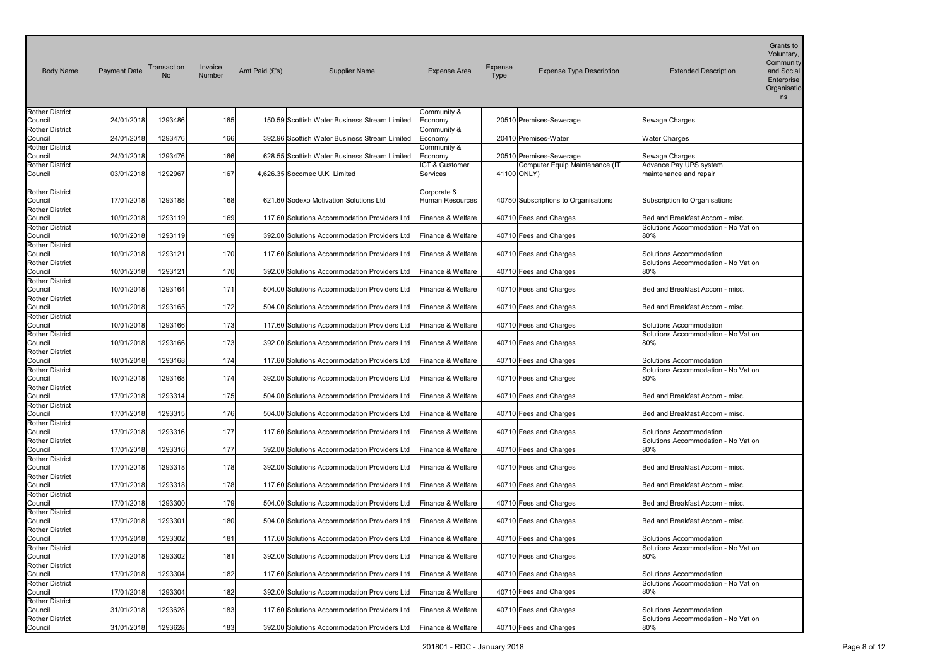Amt Paid (£'s) Grants to and Social Council 24/01/2018 1293486 165 165 150.59 Scottish Water Business Stream Limited Council 24/01/2018 1293476 166 392.96 Scottish Water Business Stream Limited Council 24/01/2018 1293476 166 628.55 Scottish Water Business Stream Limited Council 03/01/2018 1292967 167 4,626.35 Socomec U.K Limited Computer Equip Maintenance (IT maintenance and repair Council 17/01/2018 | 1293188 168 621.60 Sodexo Motivation Solutions Ltd Council 10/01/2018 1293119 169 117.60 Solutions Accommodation Providers Ltd Finance & Welfare 40710 Fees and Charges Bed and Breakfast Accom - misc. Council 10/01/2018 1293119 169 392.00 Solutions Accommodation Providers Ltd Finance & Welfare 40710 Fees and Charges Solutions Accommodation - No Vat on Council 10/01/2018 1293121 170 170 117.60 Solutions Accommodation Providers Ltd Finance & Welfare 40710 Fees and Charges Solutions Accommodation Council 10/01/2018 1293121 170 392.00 Solutions Accommodation Providers Ltd Finance & Welfare 40710 Fees and Charges Solutions Accommodation - No Vat on Council 10/01/2018 1293164 171 504.00 Solutions Accommodation Providers Ltd Finance & Welfare 40710 Fees and Charges Bed and Breakfast Accom - misc. Council 10/01/2018 1293165 1293165 172 504.00 Solutions Accommodation Providers Ltd Finance & Welfare 40710 Fees and Charges Bed and Breakfast Accom - misc. Council 10/01/2018 1293166 173 117.60 Solutions Accommodation Providers Ltd Finance & Welfare 40710 Fees and Charges Solutions Accommodation Council 10/01/2018 1293166 173 392.00 Solutions Accommodation Providers Ltd Finance & Welfare 40710 Fees and Charges Solutions Accommodation - No Vat on Council 10/01/2018 1293168 174 17.60 Solutions Accommodation Providers Ltd Finance & Welfare 40710 Fees and Charges Solutions Accommodation Council 10/01/2018 1293168 174 392.00 Solutions Accommodation Providers Ltd Finance & Welfare 40710 Fees and Charges Solutions Accommodation - No Vat on Council 17/01/2018 1293314 175 504.00 Solutions Accommodation Providers Ltd Finance & Welfare | 40710 Fees and Charges | Bed and Breakfast Accom - misc. Council 17/01/2018 1293315 176 176 504.00 Solutions Accommodation Providers Ltd Finance & Welfare 40710 Fees and Charges Bed and Breakfast Accom - misc. Council 17/01/2018 1293316 177 117.60 Solutions Accommodation Providers Ltd Finance & Welfare 40710 Fees and Charges Solutions Accommodation Council 17/01/2018 1293316 177 392.00 Solutions Accommodation Providers Ltd Finance & Welfare 40710 Fees and Charges Solutions Accommodation - No Vat on Council 17/01/2018 1293318 178 178 392.00 Solutions Accommodation Providers Ltd Finance & Welfare 40710 Fees and Charges Bed and Breakfast Accom - misc. Council 17/01/2018 1293318 178 177.60 Solutions Accommodation Providers Ltd Finance & Welfare | 40710 Fees and Charges | Bed and Breakfast Accom - misc. Council 17/01/2018 1293300 179 504.00 Solutions Accommodation Providers Ltd Finance & Welfare 40710 Fees and Charges Reach and Breakfast Accom - misc. Council 17/01/2018 1293301 180 504.00 Solutions Accommodation Providers Ltd Finance & Welfare 40710 Fees and Charges Bed and Breakfast Accom - misc. Council 17/01/2018 1293302 181 117.60 Solutions Accommodation Providers Ltd Finance & Welfare 40710 Fees and Charges Solutions Accommodation Council 17/01/2018 1293302 181 392.00 Solutions Accommodation Providers Ltd Finance & Welfare 40710 Fees and Charges Solutions Accommodation - No Vat on Council 17/01/2018 1293304 182 117.60 Solutions Accommodation Providers Ltd Finance & Welfare 40710 Fees and Charges Solutions Accommodation Council 17/01/2018 1293304 182 392.00 Solutions Accommodation Providers Ltd Finance & Welfare 40710 Fees and Charges Solutions Accommodation - No Vat on Council 31/01/2018 1293628 183 17.60 Solutions Accommodation Providers Ltd Finance & Welfare 40710 Fees and Charges Solutions Accommodation Solutions Accommodation - No Vat on Body Name Payment Date Transaction No Invoice Invoice Amt Paid (£'s) Supplier Name Expense Area Expense Expense Type Description Extended Description<br>Number Amt Paid (£'s) Voluntary, Communit **Enterprise Organisation** ns Rother District Community & Economy 20510 Premises-Sewerage Sewage Charges Rother District Community & Economy 20410 Premises-Water Charges Water Charges Rother District Community & Economy 20510 Premises-Sewerage Sewerage Sewage Charges Rother District<br>Council ICT & Customer<br>Services Services | 41100 ONLY) Advance Pay UPS system Rother District Corporate & Human Resources 40750 Subscriptions to Organisations Subscription to Organisations Rother District Rother District 80% Rother District Rother District 80% Rother District Rother District Rother District Rother District 80% Rother District Rother District 80% Rother District Rother District Rother District Rother District 80% Rother District Rother District Rother District Rother District Rother District Rother District 80% Rother District Rother District 80% Rother District Rother District 80%

Council 31/01/2018 1293628 183 392.00 Solutions Accommodation Providers Ltd Finance & Welfare 40710 Fees and Charges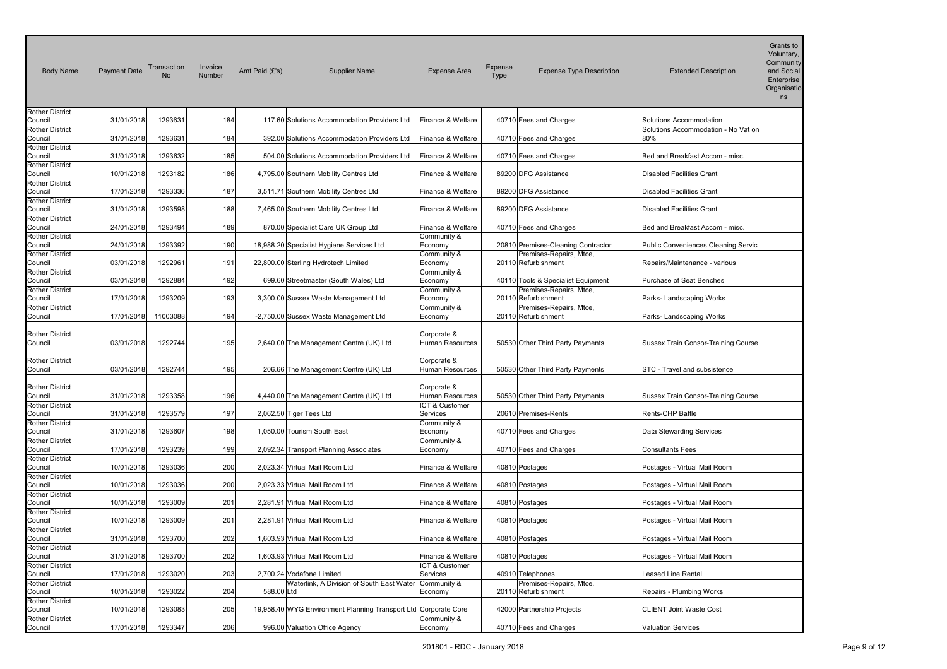| <b>Body Name</b>                              | <b>Payment Date</b> | Transaction<br><b>No</b> | Invoice<br>Number | Amt Paid (£'s) | <b>Supplier Name</b>                                            | <b>Expense Area</b>              | Expense<br>Type | <b>Expense Type Description</b>                | <b>Extended Description</b>                | Grants to<br>Voluntary,<br>Community<br>and Social<br>Enterprise<br>Organisatio<br>ns |
|-----------------------------------------------|---------------------|--------------------------|-------------------|----------------|-----------------------------------------------------------------|----------------------------------|-----------------|------------------------------------------------|--------------------------------------------|---------------------------------------------------------------------------------------|
| Rother District                               |                     |                          |                   |                |                                                                 |                                  |                 |                                                |                                            |                                                                                       |
| Council                                       | 31/01/2018          | 1293631                  | 184               |                | 117.60 Solutions Accommodation Providers Ltd                    | Finance & Welfare                |                 | 40710 Fees and Charges                         | Solutions Accommodation                    |                                                                                       |
| Rother District<br>Council                    | 31/01/2018          | 1293631                  | 184               |                | 392.00 Solutions Accommodation Providers Ltd                    | Finance & Welfare                |                 | 40710 Fees and Charges                         | Solutions Accommodation - No Vat on<br>80% |                                                                                       |
| Rother District<br>Council                    | 31/01/2018          | 1293632                  | 185               |                | 504.00 Solutions Accommodation Providers Ltd                    | Finance & Welfare                |                 | 40710 Fees and Charges                         | Bed and Breakfast Accom - misc.            |                                                                                       |
| Rother District<br>Council                    | 10/01/2018          | 1293182                  | 186               |                | 4,795.00 Southern Mobility Centres Ltd                          | Finance & Welfare                |                 | 89200 DFG Assistance                           | <b>Disabled Facilities Grant</b>           |                                                                                       |
| Rother District<br>Council                    | 17/01/2018          | 1293336                  | 187               |                | 3,511.71 Southern Mobility Centres Ltd                          | Finance & Welfare                |                 | 89200 DFG Assistance                           | <b>Disabled Facilities Grant</b>           |                                                                                       |
| Rother District<br>Council                    | 31/01/2018          | 1293598                  | 188               |                | 7,465.00 Southern Mobility Centres Ltd                          | Finance & Welfare                |                 | 89200 DFG Assistance                           | <b>Disabled Facilities Grant</b>           |                                                                                       |
| Rother District<br>Council<br>Rother District | 24/01/2018          | 1293494                  | 189               |                | 870.00 Specialist Care UK Group Ltd                             | Finance & Welfare<br>Community & |                 | 40710 Fees and Charges                         | Bed and Breakfast Accom - misc.            |                                                                                       |
| Council                                       | 24/01/2018          | 1293392                  | 190               |                | 18,988.20 Specialist Hygiene Services Ltd                       | Economy                          |                 | 20810 Premises-Cleaning Contractor             | Public Conveniences Cleaning Servic        |                                                                                       |
| Rother District<br>Council                    | 03/01/2018          | 1292961                  | 191               |                | 22,800.00 Sterling Hydrotech Limited                            | Community &<br>Economy           |                 | Premises-Repairs, Mtce,<br>20110 Refurbishment | Repairs/Maintenance - various              |                                                                                       |
| Rother District                               |                     |                          |                   |                |                                                                 | Community &                      |                 |                                                |                                            |                                                                                       |
| Council                                       | 03/01/2018          | 1292884                  | 192               |                | 699.60 Streetmaster (South Wales) Ltd                           | Economy                          |                 | 40110 Tools & Specialist Equipment             | Purchase of Seat Benches                   |                                                                                       |
| Rother District<br>Council                    | 17/01/2018          | 1293209                  | 193               |                | 3,300.00 Sussex Waste Management Ltd                            | Community &<br>Economy           |                 | Premises-Repairs, Mtce,<br>20110 Refurbishment | Parks- Landscaping Works                   |                                                                                       |
| Rother District                               |                     | 11003088                 | 194               |                |                                                                 | Community &                      |                 | Premises-Repairs, Mtce,                        |                                            |                                                                                       |
| Council                                       | 17/01/2018          |                          |                   |                | -2,750.00 Sussex Waste Management Ltd                           | Economy                          |                 | 20110 Refurbishment                            | Parks- Landscaping Works                   |                                                                                       |
| Rother District<br>Council                    | 03/01/2018          | 1292744                  | 195               |                | 2,640.00 The Management Centre (UK) Ltd                         | Corporate &<br>Human Resources   |                 | 50530 Other Third Party Payments               | Sussex Train Consor-Training Course        |                                                                                       |
| Rother District<br>Council                    | 03/01/2018          | 1292744                  | 195               |                | 206.66 The Management Centre (UK) Ltd                           | Corporate &<br>Human Resources   |                 | 50530 Other Third Party Payments               | STC - Travel and subsistence               |                                                                                       |
| <b>Rother District</b><br>Council             | 31/01/2018          | 1293358                  | 196               |                | 4,440.00 The Management Centre (UK) Ltd                         | Corporate &<br>Human Resources   |                 | 50530 Other Third Party Payments               | Sussex Train Consor-Training Course        |                                                                                       |
| <b>Rother District</b><br>Council             | 31/01/2018          | 1293579                  | 197               |                | 2,062.50 Tiger Tees Ltd                                         | ICT & Customer<br>Services       |                 | 20610 Premises-Rents                           | Rents-CHP Battle                           |                                                                                       |
| Rother District<br>Council                    | 31/01/2018          | 1293607                  | 198               |                | 1,050.00 Tourism South East                                     | Community &<br>Economy           |                 | 40710 Fees and Charges                         | Data Stewarding Services                   |                                                                                       |
| Rother District<br>Council                    | 17/01/2018          | 1293239                  | 199               |                | 2,092.34 Transport Planning Associates                          | Community &<br>Economy           |                 | 40710 Fees and Charges                         | <b>Consultants Fees</b>                    |                                                                                       |
| Rother District<br>Council                    | 10/01/2018          | 1293036                  | 200               |                | 2,023.34 Virtual Mail Room Ltd                                  | Finance & Welfare                |                 | 40810 Postages                                 | Postages - Virtual Mail Room               |                                                                                       |
| <b>Rother District</b><br>Council             | 10/01/2018          | 1293036                  | 200               |                | 2,023.33 Virtual Mail Room Ltd                                  | Finance & Welfare                |                 | 40810 Postages                                 | Postages - Virtual Mail Room               |                                                                                       |
| Rother District<br>Council                    | 10/01/2018          | 1293009                  | 201               |                | 2,281.91 Virtual Mail Room Ltd                                  | Finance & Welfare                |                 | 40810 Postages                                 | Postages - Virtual Mail Room               |                                                                                       |
| Rother District<br>Council                    | 10/01/2018          | 1293009                  | 201               |                | 2,281.91 Virtual Mail Room Ltd                                  | Finance & Welfare                |                 | 40810 Postages                                 | Postages - Virtual Mail Room               |                                                                                       |
| Rother District<br>Council                    | 31/01/2018          | 1293700                  | 202               |                | 1,603.93 Virtual Mail Room Ltd                                  | Finance & Welfare                |                 | 40810 Postages                                 | Postages - Virtual Mail Room               |                                                                                       |
| Rother District<br>Council                    | 31/01/2018          | 1293700                  | 202               |                | 1,603.93 Virtual Mail Room Ltd                                  | Finance & Welfare                |                 | 40810 Postages                                 | Postages - Virtual Mail Room               |                                                                                       |
| Rother District<br>Council                    | 17/01/2018          | 1293020                  | 203               |                | 2,700.24 Vodafone Limited                                       | ICT & Customer<br>Services       |                 | 40910 Telephones                               | Leased Line Rental                         |                                                                                       |
| Rother District<br>Council                    | 10/01/2018          | 1293022                  | 204               | 588.00 Ltd     | Waterlink, A Division of South East Water                       | Community &<br>Economy           |                 | Premises-Repairs, Mtce,<br>20110 Refurbishment | Repairs - Plumbing Works                   |                                                                                       |
| Rother District<br>Council                    | 10/01/2018          | 1293083                  | 205               |                | 19,958.40 WYG Environment Planning Transport Ltd Corporate Core |                                  |                 | 42000 Partnership Projects                     | <b>CLIENT Joint Waste Cost</b>             |                                                                                       |
| <b>Rother District</b><br>Council             | 17/01/2018          | 1293347                  | 206               |                | 996.00 Valuation Office Agency                                  | Community &<br>Economy           |                 | 40710 Fees and Charges                         | <b>Valuation Services</b>                  |                                                                                       |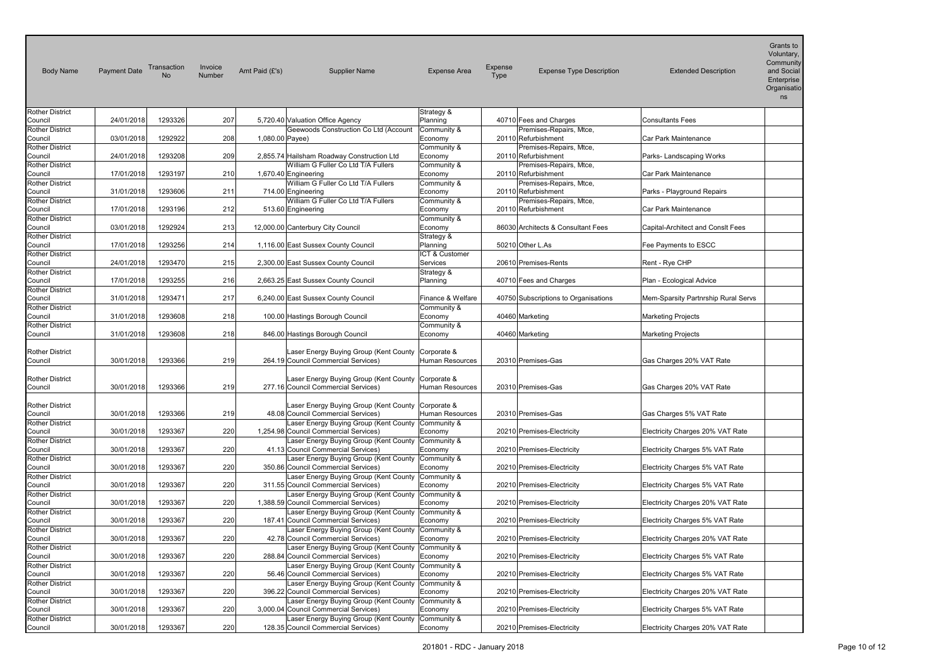| <b>Body Name</b>                  | <b>Payment Date</b> | Transaction<br><b>No</b> | Invoice<br>Number | Amt Paid (£'s)  | <b>Supplier Name</b>                                                                      | <b>Expense Area</b>            | Expense<br><b>Type</b> | <b>Expense Type Description</b>                | <b>Extended Description</b>         | Grants to<br>Voluntary,<br>Community<br>and Social<br>Enterprise<br>Organisatio<br>ns |
|-----------------------------------|---------------------|--------------------------|-------------------|-----------------|-------------------------------------------------------------------------------------------|--------------------------------|------------------------|------------------------------------------------|-------------------------------------|---------------------------------------------------------------------------------------|
| <b>Rother District</b>            |                     |                          |                   |                 |                                                                                           | Strategy &                     |                        |                                                |                                     |                                                                                       |
| Council                           | 24/01/2018          | 1293326                  | 207               |                 | 5,720.40 Valuation Office Agency                                                          | Planning                       |                        | 40710 Fees and Charges                         | <b>Consultants Fees</b>             |                                                                                       |
| <b>Rother District</b><br>Council | 03/01/2018          | 1292922                  | 208               | 1,080.00 Payee) | Geewoods Construction Co Ltd (Account                                                     | Community &<br>Economy         |                        | Premises-Repairs, Mtce,<br>20110 Refurbishment | Car Park Maintenance                |                                                                                       |
| <b>Rother District</b><br>Council | 24/01/2018          | 1293208                  | 209               |                 | 2,855.74 Hailsham Roadway Construction Ltd                                                | Community &<br>Economy         |                        | Premises-Repairs, Mtce,<br>20110 Refurbishment | Parks-Landscaping Works             |                                                                                       |
| <b>Rother District</b><br>Council | 17/01/2018          | 1293197                  | 210               |                 | William G Fuller Co Ltd T/A Fullers<br>1,670.40 Engineering                               | Community &<br>Economy         |                        | Premises-Repairs, Mtce,<br>20110 Refurbishment | Car Park Maintenance                |                                                                                       |
| <b>Rother District</b><br>Council | 31/01/2018          | 1293606                  | 211               |                 | William G Fuller Co Ltd T/A Fullers<br>714.00 Engineering                                 | Community &<br>Economy         |                        | Premises-Repairs, Mtce,<br>20110 Refurbishment | Parks - Playground Repairs          |                                                                                       |
| <b>Rother District</b><br>Council | 17/01/2018          | 1293196                  | 212               |                 | William G Fuller Co Ltd T/A Fullers<br>513.60 Engineering                                 | Community &<br>Economy         |                        | Premises-Repairs, Mtce,<br>20110 Refurbishment | Car Park Maintenance                |                                                                                       |
| <b>Rother District</b>            |                     |                          |                   |                 |                                                                                           | Community &                    |                        |                                                |                                     |                                                                                       |
| Council<br><b>Rother District</b> | 03/01/2018          | 1292924                  | 213               |                 | 12,000.00 Canterbury City Council                                                         | Economy<br>Strategy &          |                        | 86030 Architects & Consultant Fees             | Capital-Architect and Conslt Fees   |                                                                                       |
| Council                           | 17/01/2018          | 1293256                  | 214               |                 | 1,116.00 East Sussex County Council                                                       | Planning                       |                        | 50210 Other L.As                               | Fee Payments to ESCC                |                                                                                       |
| <b>Rother District</b><br>Council | 24/01/2018          | 1293470                  | 215               |                 | 2,300.00 East Sussex County Council                                                       | ICT & Customer<br>Services     |                        | 20610 Premises-Rents                           | Rent - Rye CHP                      |                                                                                       |
| <b>Rother District</b><br>Council | 17/01/2018          | 1293255                  | 216               |                 | 2,663.25 East Sussex County Council                                                       | Strategy &<br>Planning         |                        | 40710 Fees and Charges                         | Plan - Ecological Advice            |                                                                                       |
| <b>Rother District</b><br>Council | 31/01/2018          | 1293471                  | 217               |                 | 6,240.00 East Sussex County Council                                                       | Finance & Welfare              |                        | 40750 Subscriptions to Organisations           | Mem-Sparsity Partnrship Rural Servs |                                                                                       |
| <b>Rother District</b>            |                     |                          |                   |                 |                                                                                           | Community &                    |                        |                                                |                                     |                                                                                       |
| Council<br><b>Rother District</b> | 31/01/2018          | 1293608                  | 218               |                 | 100.00 Hastings Borough Council                                                           | Economy<br>Community &         |                        | 40460 Marketing                                | <b>Marketing Projects</b>           |                                                                                       |
| Council                           | 31/01/2018          | 1293608                  | 218               |                 | 846.00 Hastings Borough Council                                                           | Economy                        |                        | 40460 Marketing                                | <b>Marketing Projects</b>           |                                                                                       |
| <b>Rother District</b><br>Council | 30/01/2018          | 1293366                  | 219               |                 | Laser Energy Buying Group (Kent County Corporate &<br>264.19 Council Commercial Services) | Human Resources                |                        | 20310 Premises-Gas                             | Gas Charges 20% VAT Rate            |                                                                                       |
| <b>Rother District</b><br>Council | 30/01/2018          | 1293366                  | 219               |                 | Laser Energy Buying Group (Kent County<br>277.16 Council Commercial Services)             | Corporate &<br>Human Resources |                        | 20310 Premises-Gas                             | Gas Charges 20% VAT Rate            |                                                                                       |
| <b>Rother District</b><br>Council | 30/01/2018          | 1293366                  | 219               |                 | Laser Energy Buying Group (Kent County<br>48.08 Council Commercial Services)              | Corporate &<br>Human Resources |                        | 20310 Premises-Gas                             | Gas Charges 5% VAT Rate             |                                                                                       |
| <b>Rother District</b><br>Council | 30/01/2018          | 1293367                  | 220               |                 | aser Energy Buying Group (Kent County<br>1,254.98 Council Commercial Services)            | Community &<br>Economy         |                        | 20210 Premises-Electricity                     | Electricity Charges 20% VAT Rate    |                                                                                       |
| Rother District<br>Council        | 30/01/2018          | 1293367                  | 220               |                 | Laser Energy Buying Group (Kent County<br>41.13 Council Commercial Services)              | Community &<br>Economy         |                        | 20210 Premises-Electricity                     | Electricity Charges 5% VAT Rate     |                                                                                       |
| Rother District                   | 30/01/2018          | 1293367                  | 220               |                 | Laser Energy Buying Group (Kent County                                                    | Community &                    |                        |                                                |                                     |                                                                                       |
| Council<br><b>Rother District</b> |                     |                          |                   |                 | 350.86 Council Commercial Services)<br>Laser Energy Buying Group (Kent County             | Economy<br>Community &         |                        | 20210 Premises-Electricity                     | Electricity Charges 5% VAT Rate     |                                                                                       |
| Council<br><b>Rother District</b> | 30/01/2018          | 1293367                  | 220               |                 | 311.55 Council Commercial Services)<br>aser Energy Buying Group (Kent County              | Economy<br>Community &         |                        | 20210 Premises-Electricity                     | Electricity Charges 5% VAT Rate     |                                                                                       |
| Council                           | 30/01/2018          | 1293367                  | 220               |                 | 1,388.59 Council Commercial Services)                                                     | Economy                        |                        | 20210 Premises-Electricity                     | Electricity Charges 20% VAT Rate    |                                                                                       |
| <b>Rother District</b><br>Council | 30/01/2018          | 1293367                  | 220               |                 | Laser Energy Buying Group (Kent County<br>187.41 Council Commercial Services)             | Community &<br>Economy         |                        | 20210 Premises-Electricity                     | Electricity Charges 5% VAT Rate     |                                                                                       |
| <b>Rother District</b><br>Council | 30/01/2018          | 1293367                  | 220               |                 | Laser Energy Buying Group (Kent County<br>42.78 Council Commercial Services)              | Community &<br>Economy         |                        | 20210 Premises-Electricity                     | Electricity Charges 20% VAT Rate    |                                                                                       |
| <b>Rother District</b><br>Council | 30/01/2018          | 1293367                  | 220               |                 | Laser Energy Buying Group (Kent County<br>288.84 Council Commercial Services)             | Community &<br>Economy         |                        | 20210 Premises-Electricity                     | Electricity Charges 5% VAT Rate     |                                                                                       |
| <b>Rother District</b><br>Council | 30/01/2018          | 1293367                  | 220               |                 | Laser Energy Buying Group (Kent County<br>56.46 Council Commercial Services)              | Community &<br>Economy         |                        | 20210 Premises-Electricity                     | Electricity Charges 5% VAT Rate     |                                                                                       |
| <b>Rother District</b><br>Council | 30/01/2018          | 1293367                  | 220               |                 | Laser Energy Buying Group (Kent County<br>396.22 Council Commercial Services)             | Community &<br>Economy         |                        | 20210 Premises-Electricity                     | Electricity Charges 20% VAT Rate    |                                                                                       |
| <b>Rother District</b>            | 30/01/2018          | 1293367                  | 220               |                 | Laser Energy Buying Group (Kent County                                                    | Community &                    |                        | 20210 Premises-Electricity                     |                                     |                                                                                       |
| Council<br><b>Rother District</b> |                     |                          |                   |                 | 3,000.04 Council Commercial Services)<br>Laser Energy Buying Group (Kent County           | Economy<br>Community &         |                        |                                                | Electricity Charges 5% VAT Rate     |                                                                                       |
| Council                           | 30/01/2018          | 1293367                  | 220               |                 | 128.35 Council Commercial Services)                                                       | Economy                        |                        | 20210 Premises-Electricity                     | Electricity Charges 20% VAT Rate    |                                                                                       |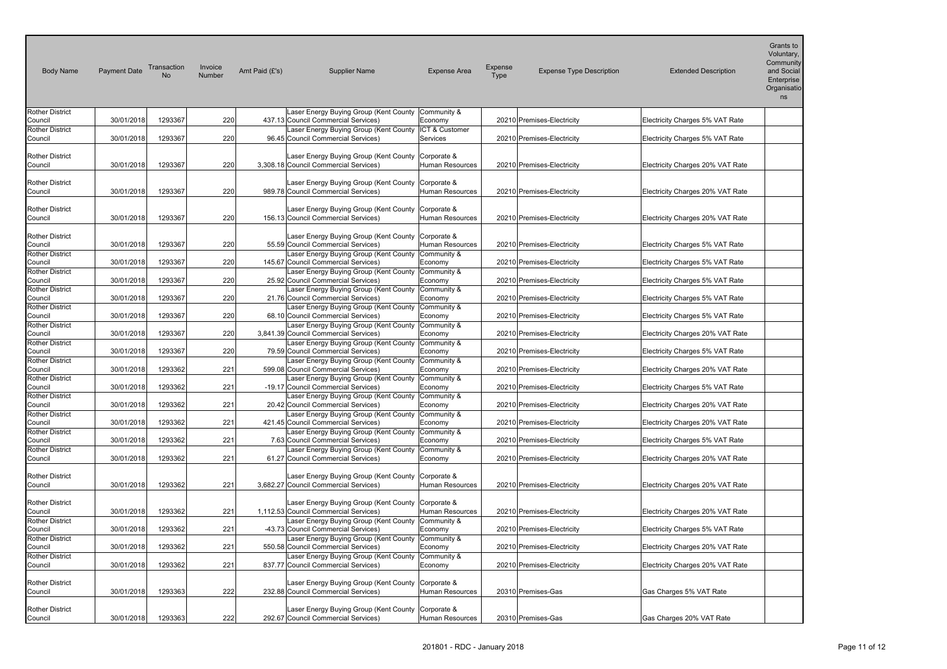| <b>Body Name</b>                                     | Payment Date             | Transaction<br><b>No</b> | Invoice<br>Number | Amt Paid (£'s) | <b>Supplier Name</b>                                                                                                   | <b>Expense Area</b>                           | Expense<br>Type | <b>Expense Type Description</b>                          | <b>Extended Description</b>                                        | Grants to<br>Voluntary,<br>Community<br>and Social<br>Enterprise<br>Organisatio<br>ns |
|------------------------------------------------------|--------------------------|--------------------------|-------------------|----------------|------------------------------------------------------------------------------------------------------------------------|-----------------------------------------------|-----------------|----------------------------------------------------------|--------------------------------------------------------------------|---------------------------------------------------------------------------------------|
| <b>Rother District</b>                               |                          |                          |                   |                | Laser Energy Buying Group (Kent County                                                                                 | Community &                                   |                 |                                                          |                                                                    |                                                                                       |
| Council                                              | 30/01/2018               | 1293367                  | 220               |                | 437.13 Council Commercial Services)                                                                                    | Economy                                       |                 | 20210 Premises-Electricity                               | Electricity Charges 5% VAT Rate                                    |                                                                                       |
| Rother District<br>Council                           | 30/01/2018               | 1293367                  | 220               |                | Laser Energy Buying Group (Kent County<br>96.45 Council Commercial Services)                                           | ICT & Customer<br>Services                    |                 | 20210 Premises-Electricity                               | Electricity Charges 5% VAT Rate                                    |                                                                                       |
| Rother District<br>Council                           | 30/01/2018               | 1293367                  | 220               |                | Laser Energy Buying Group (Kent County<br>3,308.18 Council Commercial Services)                                        | Corporate &<br>Human Resources                |                 | 20210 Premises-Electricity                               | Electricity Charges 20% VAT Rate                                   |                                                                                       |
| <b>Rother District</b><br>Council                    | 30/01/2018               | 1293367                  | 220               |                | Laser Energy Buying Group (Kent County<br>989.78 Council Commercial Services)                                          | Corporate &<br>Human Resources                |                 | 20210 Premises-Electricity                               | Electricity Charges 20% VAT Rate                                   |                                                                                       |
| Rother District<br>Council                           | 30/01/2018               | 1293367                  | 220               |                | Laser Energy Buying Group (Kent County<br>156.13 Council Commercial Services)                                          | Corporate &<br>Human Resources                |                 | 20210 Premises-Electricity                               | Electricity Charges 20% VAT Rate                                   |                                                                                       |
| Rother District<br>Council<br><b>Rother District</b> | 30/01/2018               | 1293367                  | 220               |                | Laser Energy Buying Group (Kent County<br>55.59 Council Commercial Services)<br>Laser Energy Buying Group (Kent County | Corporate &<br>Human Resources<br>Community & |                 | 20210 Premises-Electricity                               | Electricity Charges 5% VAT Rate                                    |                                                                                       |
| Council<br><b>Rother District</b>                    | 30/01/2018               | 1293367                  | 220               |                | 145.67 Council Commercial Services)<br>Laser Energy Buying Group (Kent County Community &                              | Economy                                       |                 | 20210 Premises-Electricity                               | Electricity Charges 5% VAT Rate                                    |                                                                                       |
| Council<br>Rother District<br>Council                | 30/01/2018<br>30/01/2018 | 1293367<br>1293367       | 220<br>220        |                | 25.92 Council Commercial Services)<br>Laser Energy Buying Group (Kent County<br>21.76 Council Commercial Services)     | Economy<br>Community &<br>Economy             |                 | 20210 Premises-Electricity<br>20210 Premises-Electricity | Electricity Charges 5% VAT Rate<br>Electricity Charges 5% VAT Rate |                                                                                       |
| Rother District<br>Council                           | 30/01/2018               | 1293367                  | 220               |                | Laser Energy Buying Group (Kent County<br>68.10 Council Commercial Services)                                           | Community &<br>Economy                        |                 | 20210 Premises-Electricity                               | Electricity Charges 5% VAT Rate                                    |                                                                                       |
| <b>Rother District</b><br>Council                    | 30/01/2018               | 1293367                  | 220               |                | Laser Energy Buying Group (Kent County<br>3,841.39 Council Commercial Services)                                        | Community &<br>Economy                        |                 | 20210 Premises-Electricity                               | Electricity Charges 20% VAT Rate                                   |                                                                                       |
| <b>Rother District</b><br>Council<br>Rother District | 30/01/2018               | 1293367                  | 220               |                | Laser Energy Buying Group (Kent County<br>79.59 Council Commercial Services)<br>Laser Energy Buying Group (Kent County | Community &<br>Economy<br>Community &         |                 | 20210 Premises-Electricity                               | Electricity Charges 5% VAT Rate                                    |                                                                                       |
| Council<br><b>Rother District</b>                    | 30/01/2018               | 1293362                  | 221               |                | 599.08 Council Commercial Services)<br>Laser Energy Buying Group (Kent County                                          | Economy<br>Community &                        |                 | 20210 Premises-Electricity                               | Electricity Charges 20% VAT Rate                                   |                                                                                       |
| Council<br>Rother District                           | 30/01/2018               | 1293362                  | 221               |                | -19.17 Council Commercial Services)<br>Laser Energy Buying Group (Kent County                                          | Economy<br>Community &                        |                 | 20210 Premises-Electricity                               | Electricity Charges 5% VAT Rate                                    |                                                                                       |
| Council<br>Rother District                           | 30/01/2018               | 1293362                  | 221               |                | 20.42 Council Commercial Services)<br>Laser Energy Buying Group (Kent County                                           | Economy<br>Community &                        |                 | 20210 Premises-Electricity                               | Electricity Charges 20% VAT Rate                                   |                                                                                       |
| Council<br><b>Rother District</b>                    | 30/01/2018               | 1293362                  | 221               |                | 421.45 Council Commercial Services)                                                                                    | Economy                                       |                 | 20210 Premises-Electricity                               | Electricity Charges 20% VAT Rate                                   |                                                                                       |
| Council<br><b>Rother District</b>                    | 30/01/2018               | 1293362                  | 221               |                | Laser Energy Buying Group (Kent County<br>7.63 Council Commercial Services)<br>Laser Energy Buying Group (Kent County  | Community &<br>Economy<br>Community &         |                 | 20210 Premises-Electricity                               | Electricity Charges 5% VAT Rate                                    |                                                                                       |
| Council                                              | 30/01/2018               | 1293362                  | 221               |                | 61.27 Council Commercial Services)                                                                                     | Economy                                       |                 | 20210 Premises-Electricity                               | Electricity Charges 20% VAT Rate                                   |                                                                                       |
| Rother District<br>Council                           | 30/01/2018               | 1293362                  | 221               |                | Laser Energy Buying Group (Kent County<br>3,682.27 Council Commercial Services)                                        | Corporate &<br>Human Resources                |                 | 20210 Premises-Electricity                               | Electricity Charges 20% VAT Rate                                   |                                                                                       |
| <b>Rother District</b><br>Council                    | 30/01/2018               | 1293362                  | 221               |                | Laser Energy Buying Group (Kent County<br>1,112.53 Council Commercial Services)                                        | Corporate &<br>Human Resources                |                 | 20210 Premises-Electricity                               | Electricity Charges 20% VAT Rate                                   |                                                                                       |
| <b>Rother District</b><br>Council                    | 30/01/2018               | 1293362                  | 221               |                | Laser Energy Buying Group (Kent County<br>-43.73 Council Commercial Services)                                          | Community &<br>Economy                        |                 | 20210 Premises-Electricity                               | Electricity Charges 5% VAT Rate                                    |                                                                                       |
| Rother District<br>Council                           | 30/01/2018               | 1293362                  | 221               |                | Laser Energy Buying Group (Kent County<br>550.58 Council Commercial Services)                                          | Community &<br>Economy                        |                 | 20210 Premises-Electricity                               | Electricity Charges 20% VAT Rate                                   |                                                                                       |
| Rother District<br>Council                           | 30/01/2018               | 1293362                  | 221               |                | Laser Energy Buying Group (Kent County<br>837.77 Council Commercial Services)                                          | Community &<br>Economy                        |                 | 20210 Premises-Electricity                               | Electricity Charges 20% VAT Rate                                   |                                                                                       |
| Rother District<br>Council                           | 30/01/2018               | 1293363                  | 222               |                | Laser Energy Buying Group (Kent County<br>232.88 Council Commercial Services)                                          | Corporate &<br>Human Resources                |                 | 20310 Premises-Gas                                       | Gas Charges 5% VAT Rate                                            |                                                                                       |
| <b>Rother District</b><br>Council                    | 30/01/2018               | 1293363                  | 222               |                | Laser Energy Buying Group (Kent County Corporate &<br>292.67 Council Commercial Services)                              | Human Resources                               |                 | 20310 Premises-Gas                                       | Gas Charges 20% VAT Rate                                           |                                                                                       |